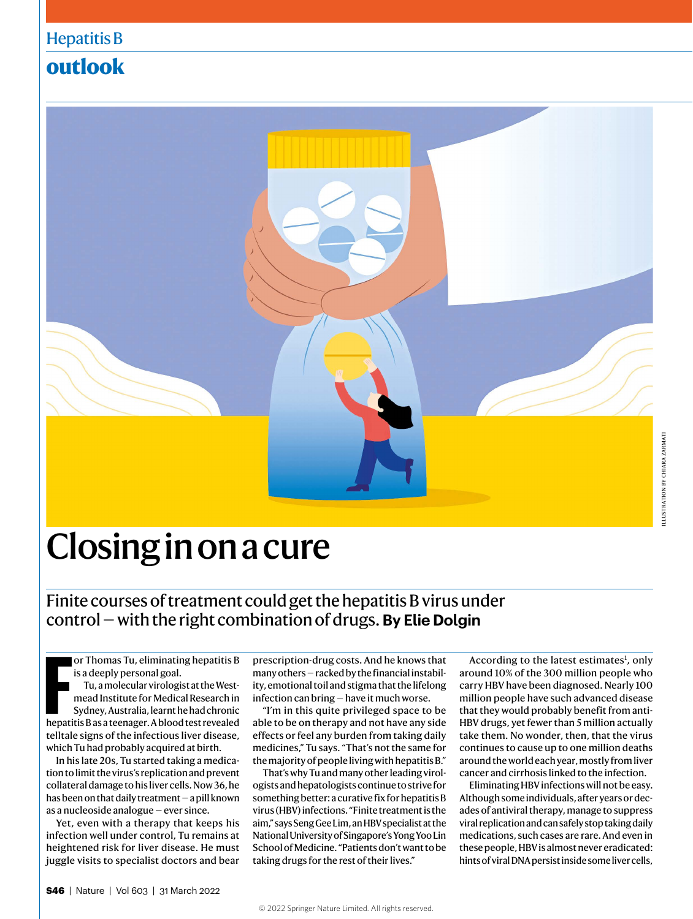# **outlook**



# Closing in on a cure

Finite courses of treatment could get the hepatitis B virus under control — with the right combination of drugs. **By Elie Dolgin**

**FREE ASSEMANCES IN A BUT ASSEM IS A SERVIDE A BUT A BUT A BUT A BUT A BUT A BUT A BUT AND SURFACE THE AND SURFACE THE SURFACE REPARENT A BUT A BUT A blood test revealed the patitis B as a teenager. A blood test revealed** or Thomas Tu, eliminating hepatitis B is a deeply personal goal. Tu, a molecular virologist at the Westmead Institute for Medical Research in Sydney, Australia, learnt he had chronic telltale signs of the infectious liver disease, which Tu had probably acquired at birth.

In his late 20s, Tu started taking a medication to limit the virus's replication and prevent collateral damage to his liver cells. Now 36, he has been on that daily treatment — a pill known as a nucleoside analogue — ever since.

Yet, even with a therapy that keeps his infection well under control, Tu remains at heightened risk for liver disease. He must juggle visits to specialist doctors and bear prescription-drug costs. And he knows that many others — racked by the financial instability, emotional toil and stigma that the lifelong infection can bring — have it much worse.

"I'm in this quite privileged space to be able to be on therapy and not have any side effects or feel any burden from taking daily medicines," Tu says. "That's not the same for the majority of people living with hepatitis B."

That's why Tu and many other leading virologists and hepatologists continue to strive for something better: a curative fix for hepatitis B virus (HBV) infections. "Finite treatment is the aim," says Seng Gee Lim, an HBV specialist at the National University of Singapore's Yong Yoo Lin School of Medicine. "Patients don't want to be taking drugs for the rest of their lives."

According to the latest estimates<sup>1</sup>, only around 10% of the 300 million people who carry HBV have been diagnosed. Nearly 100 million people have such advanced disease that they would probably benefit from anti-HBV drugs, yet fewer than 5 million actually take them. No wonder, then, that the virus continues to cause up to one million deaths around the world each year, mostly from liver cancer and cirrhosis linked to the infection.

Eliminating HBV infections will not be easy. Although some individuals, after years or decades of antiviral therapy, manage to suppress viral replication and can safely stop taking daily medications, such cases are rare. And even in these people, HBV is almost never eradicated: hints of viral DNA persist inside some liver cells,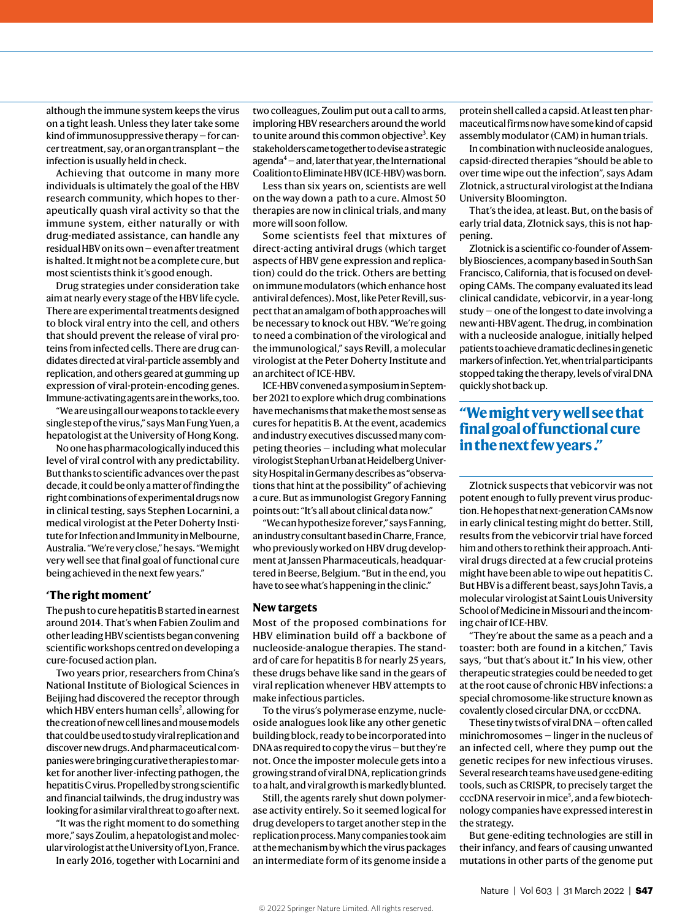although the immune system keeps the virus on a tight leash. Unless they later take some kind of immunosuppressive therapy — for cancer treatment, say, or an organ transplant — the infection is usually held in check.

Achieving that outcome in many more individuals is ultimately the goal of the HBV research community, which hopes to therapeutically quash viral activity so that the immune system, either naturally or with drug-mediated assistance, can handle any residual HBV on its own — even after treatment is halted. It might not be a complete cure, but most scientists think it's good enough.

Drug strategies under consideration take aim at nearly every stage of the HBV life cycle. There are experimental treatments designed to block viral entry into the cell, and others that should prevent the release of viral proteins from infected cells. There are drug candidates directed at viral-particle assembly and replication, and others geared at gumming up expression of viral-protein-encoding genes. Immune-activating agents are in the works, too.

"We are using all our weapons to tackle every single step of the virus," says Man Fung Yuen, a hepatologist at the University of Hong Kong.

No one has pharmacologically induced this level of viral control with any predictability. But thanks to scientific advances over the past decade, it could be only a matter of finding the right combinations of experimental drugs now in clinical testing, says Stephen Locarnini, a medical virologist at the Peter Doherty Institute for Infection and Immunity in Melbourne, Australia. "We're very close," he says. "We might very well see that final goal of functional cure being achieved in the next few years."

#### **'The right moment'**

The push to cure hepatitis B started in earnest around 2014. That's when Fabien Zoulim and other leading HBV scientists began convening scientific workshops centred on developing a cure-focused action plan.

Two years prior, researchers from China's National Institute of Biological Sciences in Beijing had discovered the receptor through which HBV enters human cells<sup>2</sup>, allowing for the creation of new cell lines and mouse models that could be used to study viral replication and discover new drugs. And pharmaceutical companies were bringing curative therapies to market for another liver-infecting pathogen, the hepatitis C virus. Propelled by strong scientific and financial tailwinds, the drug industry was looking for a similar viral threat to go after next.

"It was the right moment to do something more," says Zoulim, a hepatologist and molecular virologist at the University of Lyon, France.

In early 2016, together with Locarnini and

two colleagues, Zoulim put out a call to arms, imploring HBV researchers around the world to unite around this common objective<sup>3</sup>. Key stakeholders came together to devise a strategic agenda4 — and, later that year, the International Coalition to Eliminate HBV (ICE-HBV) was born.

Less than six years on, scientists are well on the way down a path to a cure. Almost 50 therapies are now in clinical trials, and many more will soon follow.

Some scientists feel that mixtures of direct-acting antiviral drugs (which target aspects of HBV gene expression and replication) could do the trick. Others are betting on immune modulators (which enhance host antiviral defences). Most, like Peter Revill, suspect that an amalgam of both approaches will be necessary to knock out HBV. "We're going to need a combination of the virological and the immunological," says Revill, a molecular virologist at the Peter Doherty Institute and an architect of ICE-HBV.

ICE-HBV convened a symposium in September 2021 to explore which drug combinations have mechanisms that make the most sense as cures for hepatitis B. At the event, academics and industry executives discussed many competing theories — including what molecular virologist Stephan Urban at Heidelberg University Hospital in Germany describes as "observations that hint at the possibility" of achieving a cure. But as immunologist Gregory Fanning points out: "It's all about clinical data now."

"We can hypothesize forever," says Fanning, an industry consultant based in Charre, France, who previously worked on HBV drug development at Janssen Pharmaceuticals, headquartered in Beerse, Belgium. "But in the end, you have to see what's happening in the clinic."

#### **New targets**

Most of the proposed combinations for HBV elimination build off a backbone of nucleoside-analogue therapies. The standard of care for hepatitis B for nearly 25 years, these drugs behave like sand in the gears of viral replication whenever HBV attempts to make infectious particles.

To the virus's polymerase enzyme, nucleoside analogues look like any other genetic building block, ready to be incorporated into DNA as required to copy the virus — but they're not. Once the imposter molecule gets into a growing strand of viral DNA, replication grinds to a halt, and viral growth is markedly blunted.

Still, the agents rarely shut down polymerase activity entirely. So it seemed logical for drug developers to target another step in the replication process. Many companies took aim at the mechanism by which the virus packages an intermediate form of its genome inside a

protein shell called a capsid. At least ten pharmaceutical firms now have some kind of capsid assembly modulator (CAM) in human trials.

In combination with nucleoside analogues, capsid-directed therapies "should be able to over time wipe out the infection", says Adam Zlotnick, a structural virologist at the Indiana University Bloomington.

That's the idea, at least. But, on the basis of early trial data, Zlotnick says, this is not happening.

Zlotnick is a scientific co-founder of Assembly Biosciences, a company based in South San Francisco, California, that is focused on developing CAMs. The company evaluated its lead clinical candidate, vebicorvir, in a year-long study — one of the longest to date involving a new anti-HBV agent. The drug, in combination with a nucleoside analogue, initially helped patients to achieve dramatic declines in genetic markers of infection. Yet, when trial participants stopped taking the therapy, levels of viral DNA quickly shot back up.

## **"We might very well see that final goal of functional cure in the next few years ."**

Zlotnick suspects that vebicorvir was not potent enough to fully prevent virus production. He hopes that next-generation CAMs now in early clinical testing might do better. Still, results from the vebicorvir trial have forced him and others to rethink their approach. Antiviral drugs directed at a few crucial proteins might have been able to wipe out hepatitis C. But HBV is a different beast, says John Tavis, a molecular virologist at Saint Louis University School of Medicine in Missouri and the incoming chair of ICE-HBV.

"They're about the same as a peach and a toaster: both are found in a kitchen," Tavis says, "but that's about it." In his view, other therapeutic strategies could be needed to get at the root cause of chronic HBV infections: a special chromosome-like structure known as covalently closed circular DNA, or cccDNA.

These tiny twists of viral DNA — often called minichromosomes — linger in the nucleus of an infected cell, where they pump out the genetic recipes for new infectious viruses. Several research teams have used gene-editing tools, such as CRISPR, to precisely target the cccDNA reservoir in mice<sup>5</sup>, and a few biotechnology companies have expressed interest in the strategy.

But gene-editing technologies are still in their infancy, and fears of causing unwanted mutations in other parts of the genome put